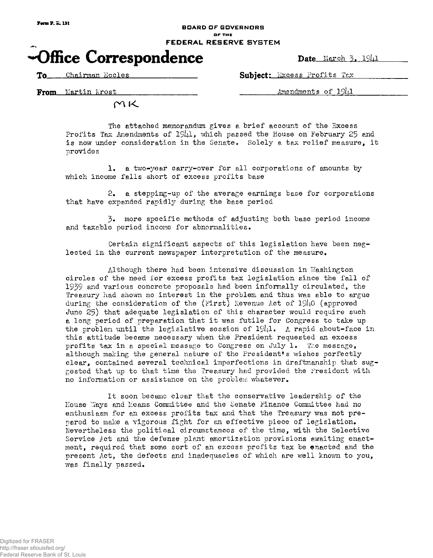## BOARD OF GOVERNORS **OP THE**  FEDERAL RESERVE SYSTEM

## $\bullet$ Office Correspondence pate March 3, 1941

**To** Chairman Eccles **Subject:** Excess Profits Tax

From Martin Krost Amendments of  $1941$ 

 $M$ K

The attached memorandum gives a brief account of the Excess Profits Tax Amendments of  $1941$ , which passed the House on February 25 and is now under consideration in the Senate. Solely a tax relief measure, it provides

1. a two-year carry-over for all corporations of amounts by which income falls short of excess profits base

2. a stepping-up of the average earnings base for corporations that have expanded rapidly during the base period

3. more specific methods of adjusting both base period income and taxable period income for abnormalities.

Certain significant aspects of this legislation have been neglected in the current newspaper interpretation of the measure.

Although there had been intensive discussion in Washington circles of the need for excess profits tax legislation since the fall of 1939 and various concrete proposals had been informally circulated, the Treasury had shown no interest in the problem and thus was able to argue during the consideration of the (First) Revenue Act of  $19\mu$ 0 (approved June 25) that adequate legislation of this character would require such a long period of preparation that it was futile for Congress to take up the problem until the legislative session of  $1941.$  A rapid about-face in this attitude became necessary when the President requested an excess profits tax in a special message to Congress on July 1. The message, although making the general nature of the President's wishes perfectly clear, contained several technical imperfections in draftmanship that suggested that up to that time the Treasury had provided the President with no information or assistance on the problem whatever.

It soon became clear that the conservative leadership of the House Ways and Means Committee and the Senate Finance Committee had no enthusiasm for an excess profits tax and that the Treasury was not prepared to make a vigorous fight for an effective piece of legislation. Nevertheless the political circumstances of the time, with the Selective Service Act and the defense plant amortization provisions awaiting enactment, required that some sort of an excess profits tax be enacted and the present Act, the defects and inadequacies of which are well known to you, was finally passed.